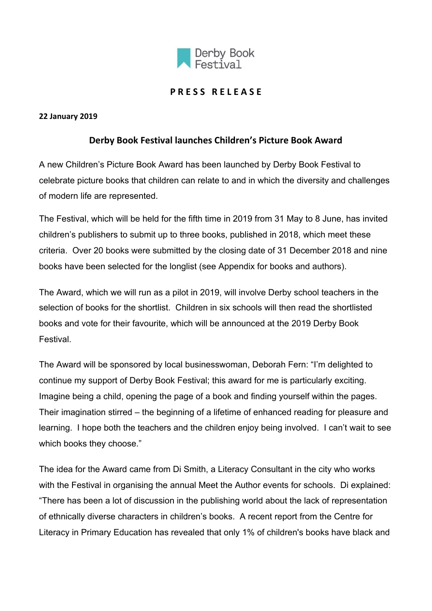

# **P R E S S R E L E A S E**

#### **22 January 2019**

## **Derby Book Festival launches Children's Picture Book Award**

A new Children's Picture Book Award has been launched by Derby Book Festival to celebrate picture books that children can relate to and in which the diversity and challenges of modern life are represented.

The Festival, which will be held for the fifth time in 2019 from 31 May to 8 June, has invited children's publishers to submit up to three books, published in 2018, which meet these criteria. Over 20 books were submitted by the closing date of 31 December 2018 and nine books have been selected for the longlist (see Appendix for books and authors).

The Award, which we will run as a pilot in 2019, will involve Derby school teachers in the selection of books for the shortlist. Children in six schools will then read the shortlisted books and vote for their favourite, which will be announced at the 2019 Derby Book Festival.

The Award will be sponsored by local businesswoman, Deborah Fern: "I'm delighted to continue my support of Derby Book Festival; this award for me is particularly exciting. Imagine being a child, opening the page of a book and finding yourself within the pages. Their imagination stirred – the beginning of a lifetime of enhanced reading for pleasure and learning. I hope both the teachers and the children enjoy being involved. I can't wait to see which books they choose."

The idea for the Award came from Di Smith, a Literacy Consultant in the city who works with the Festival in organising the annual Meet the Author events for schools. Di explained: "There has been a lot of discussion in the publishing world about the lack of representation of ethnically diverse characters in children's books. A recent report from the Centre for Literacy in Primary Education has revealed that only 1% of children's books have black and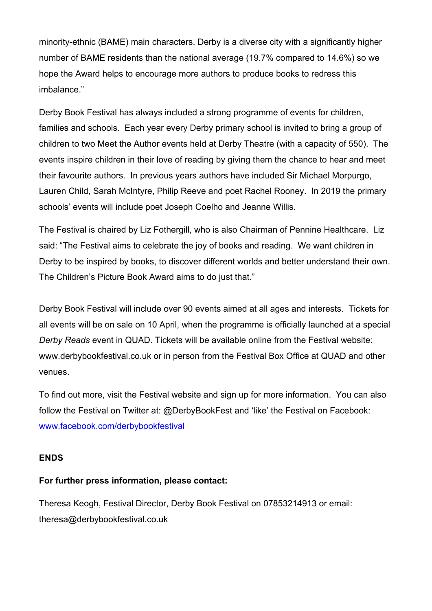minority-ethnic (BAME) main characters. Derby is a diverse city with a significantly higher number of BAME residents than the national average (19.7% compared to 14.6%) so we hope the Award helps to encourage more authors to produce books to redress this imbalance."

Derby Book Festival has always included a strong programme of events for children, families and schools. Each year every Derby primary school is invited to bring a group of children to two Meet the Author events held at Derby Theatre (with a capacity of 550). The events inspire children in their love of reading by giving them the chance to hear and meet their favourite authors. In previous years authors have included Sir Michael Morpurgo, Lauren Child, Sarah McIntyre, Philip Reeve and poet Rachel Rooney. In 2019 the primary schools' events will include poet Joseph Coelho and Jeanne Willis.

The Festival is chaired by Liz Fothergill, who is also Chairman of Pennine Healthcare. Liz said: "The Festival aims to celebrate the joy of books and reading. We want children in Derby to be inspired by books, to discover different worlds and better understand their own. The Children's Picture Book Award aims to do just that."

Derby Book Festival will include over 90 events aimed at all ages and interests. Tickets for all events will be on sale on 10 April, when the programme is officially launched at a special *Derby Reads* event in QUAD. Tickets will be available online from the Festival website: [www.derbybookfestival.co.uk](http://www.derbybookfestival.co.uk/) or in person from the Festival Box Office at QUAD and other venues.

To find out more, visit the Festival website and sign up for more information. You can also follow the Festival on Twitter at: @DerbyBookFest and 'like' the Festival on Facebook: [www.facebook.com/derbybookfestival](http://www.facebook.com/derbybookfestival)

## **ENDS**

#### **For further press information, please contact:**

Theresa Keogh, Festival Director, Derby Book Festival on 07853214913 or email: theresa@derbybookfestival.co.uk